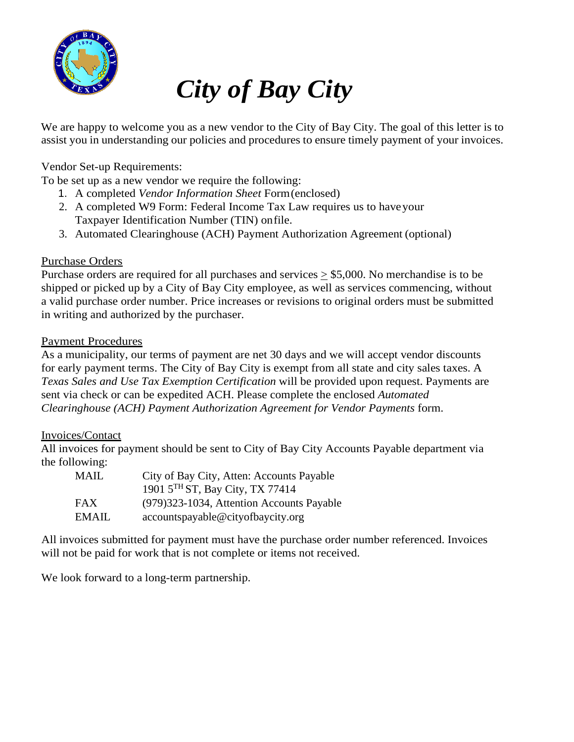

# *City of Bay City*

We are happy to welcome you as a new vendor to the City of Bay City. The goal of this letter is to assist you in understanding our policies and procedures to ensure timely payment of your invoices.

Vendor Set-up Requirements:

To be set up as a new vendor we require the following:

- 1. A completed *Vendor Information Sheet* Form(enclosed)
- 2. A completed W9 Form: Federal Income Tax Law requires us to haveyour Taxpayer Identification Number (TIN) onfile.
- 3. Automated Clearinghouse (ACH) Payment Authorization Agreement (optional)

# Purchase Orders

Purchase orders are required for all purchases and services  $\geq$  \$5,000. No merchandise is to be shipped or picked up by a City of Bay City employee, as well as services commencing, without a valid purchase order number. Price increases or revisions to original orders must be submitted in writing and authorized by the purchaser.

# Payment Procedures

As a municipality, our terms of payment are net 30 days and we will accept vendor discounts for early payment terms. The City of Bay City is exempt from all state and city sales taxes. A *Texas Sales and Use Tax Exemption Certification* will be provided upon request. Payments are sent via check or can be expedited ACH. Please complete the enclosed *Automated Clearinghouse (ACH) Payment Authorization Agreement for Vendor Payments* form.

# Invoices/Contact

All invoices for payment should be sent to City of Bay City Accounts Payable department via the following:

| MAIL       | City of Bay City, Atten: Accounts Payable   |
|------------|---------------------------------------------|
|            | 1901 5 <sup>TH</sup> ST, Bay City, TX 77414 |
| <b>FAX</b> | (979) 323-1034, Attention Accounts Payable  |
| EMAIL      | accountspayable@cityofbaycity.org           |

All invoices submitted for payment must have the purchase order number referenced. Invoices will not be paid for work that is not complete or items not received.

We look forward to a long-term partnership.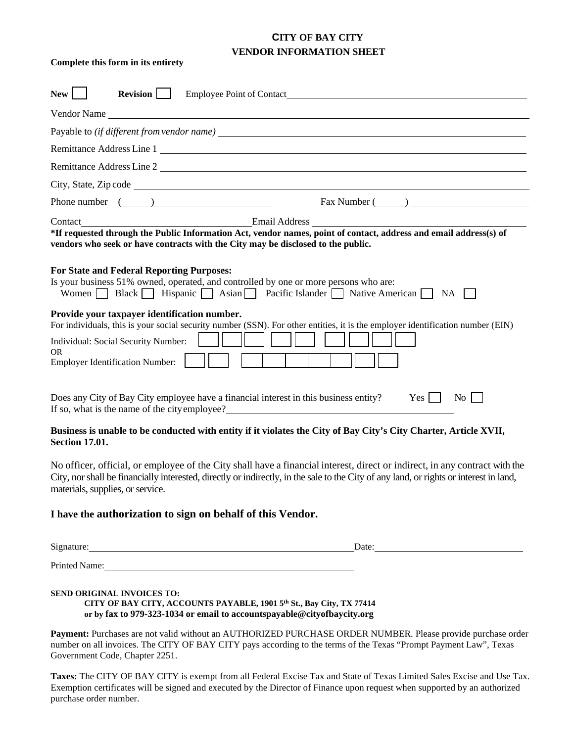# **CITY OF BAY CITY VENDOR INFORMATION SHEET**

#### **Complete this form in its entirety**

| <b>New</b><br><b>Revision</b><br>Employee Point of Contact <b>Exercísies Employee Point of Contact</b>                                                                                                                                                                                                                                                                                                                                                            |
|-------------------------------------------------------------------------------------------------------------------------------------------------------------------------------------------------------------------------------------------------------------------------------------------------------------------------------------------------------------------------------------------------------------------------------------------------------------------|
| Vendor Name                                                                                                                                                                                                                                                                                                                                                                                                                                                       |
|                                                                                                                                                                                                                                                                                                                                                                                                                                                                   |
| Remittance Address Line 1                                                                                                                                                                                                                                                                                                                                                                                                                                         |
| Remittance Address Line 2                                                                                                                                                                                                                                                                                                                                                                                                                                         |
|                                                                                                                                                                                                                                                                                                                                                                                                                                                                   |
| Phone number $(\_\_)$                                                                                                                                                                                                                                                                                                                                                                                                                                             |
| *If requested through the Public Information Act, vendor names, point of contact, address and email address(s) of<br>vendors who seek or have contracts with the City may be disclosed to the public.<br><b>For State and Federal Reporting Purposes:</b><br>Is your business 51% owned, operated, and controlled by one or more persons who are:<br>Women $\Box$ Black $\Box$ Hispanic $\Box$ Asian $\Box$ Pacific Islander $\Box$ Native American $\Box$<br>NA. |
| Provide your taxpayer identification number.<br>For individuals, this is your social security number (SSN). For other entities, it is the employer identification number (EIN)<br>Individual: Social Security Number:<br><b>OR</b><br><b>Employer Identification Number:</b>                                                                                                                                                                                      |
| Does any City of Bay City employee have a financial interest in this business entity?<br>Yes<br>No.<br>If so, what is the name of the city employee?                                                                                                                                                                                                                                                                                                              |

#### **Business is unable to be conducted with entity if it violates the City of Bay City's City Charter, Article XVII, Section 17.01.**

No officer, official, or employee of the City shall have a financial interest, direct or indirect, in any contract with the City, nor shall be financially interested, directly or indirectly, in the sale to the City of any land, or rights or interest in land, materials, supplies, or service.

#### **I have the authorization to sign on behalf of this Vendor.**

| Signature: |
|------------|
|------------|

 $\sum_{n=1}^{\infty}$  Date:

Printed Name: Name: Name: Name: Name: Name: Name: Name: Name: Name: Name: Name: Name: Name: Name: Name: Name: Name: Name: Name: Name: Name: Name: Name: Name: Name: Name: Name: Name: Name: Name: Name: Name: Name: Name: Name

#### **SEND ORIGINAL INVOICES TO:**

**CITY OF BAY CITY, ACCOUNTS PAYABLE, 1901 5th St., Bay City, TX 77414 or by fax to 979-323-1034 or email to accountspayable@cityofbaycity.org**

**Payment:** Purchases are not valid without an AUTHORIZED PURCHASE ORDER NUMBER. Please provide purchase order number on all invoices. The CITY OF BAY CITY pays according to the terms of the Texas "Prompt Payment Law", Texas Government Code, Chapter 2251.

**Taxes:** The CITY OF BAY CITY is exempt from all Federal Excise Tax and State of Texas Limited Sales Excise and Use Tax. Exemption certificates will be signed and executed by the Director of Finance upon request when supported by an authorized purchase order number.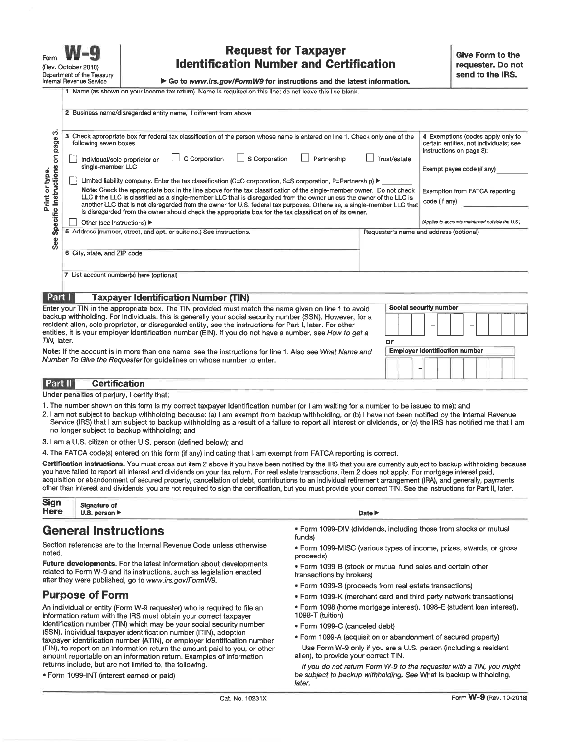Eorm (Rev. October 2018) Department of the Treasury Internal Revenue Service

**C** Dealers concertations and a contract of the pre-

 $\overline{1}N$ 

# **Request for Taxpayer Identification Number and Certification**

Go to www.irs.gov/FormW9 for instructions and the latest information.

|  |  | ame (as shown on your income tax return). Name is required on this line: do not leave this line blank. |  |
|--|--|--------------------------------------------------------------------------------------------------------|--|

|                                          | s business hame/disregarged entity name, if different from above                                                                                                                                                                                                                                                                                                        |                                                                                                         |
|------------------------------------------|-------------------------------------------------------------------------------------------------------------------------------------------------------------------------------------------------------------------------------------------------------------------------------------------------------------------------------------------------------------------------|---------------------------------------------------------------------------------------------------------|
| co<br>page                               | з<br>Check appropriate box for federal tax classification of the person whose name is entered on line 1. Check only one of the<br>following seven boxes.                                                                                                                                                                                                                | 4 Exemptions (codes apply only to<br>certain entities, not individuals; see<br>instructions on page 3): |
| g                                        | C Corporation<br>$\Box$ S Corporation<br>Trust/estate<br>Partnership<br>Individual/sole proprietor or<br>single-member LLC                                                                                                                                                                                                                                              | Exempt payee code (if any)                                                                              |
|                                          | Limited liability company. Enter the tax classification (C=C corporation, S=S corporation, P=Partnership) ▶                                                                                                                                                                                                                                                             |                                                                                                         |
| rint or type.<br>Instructions<br>Print . | Note: Check the appropriate box in the line above for the tax classification of the single-member owner. Do not check<br>LLC if the LLC is classified as a single-member LLC that is disregarded from the owner unless the owner of the LLC is<br>another LLC that is not disregarded from the owner for U.S. federal tax purposes. Otherwise, a single-member LLC that | Exemption from FATCA reporting<br>code (if any)                                                         |
| Specific                                 | is disregarded from the owner should check the appropriate box for the tax classification of its owner.                                                                                                                                                                                                                                                                 |                                                                                                         |
|                                          | Other (see instructions) ▶                                                                                                                                                                                                                                                                                                                                              | (Applies to accounts maintained outside the U.S.)                                                       |
| See                                      | 5 Address (number, street, and apt. or suite no.) See instructions.                                                                                                                                                                                                                                                                                                     | Requester's name and address (optional)                                                                 |
|                                          | 6 City, state, and ZIP code                                                                                                                                                                                                                                                                                                                                             |                                                                                                         |
|                                          | 7 List account number(s) here (optional)                                                                                                                                                                                                                                                                                                                                |                                                                                                         |
| Part I                                   | <b>Taxpayer Identification Number (TIN)</b>                                                                                                                                                                                                                                                                                                                             |                                                                                                         |
|                                          | Enter your TIN in the appropriate box. The TIN provided must match the name given on line 1 to avoid                                                                                                                                                                                                                                                                    | Social security number                                                                                  |

backup withholding. For individuals, this is generally your social security number (SSN). However, for a resident alien, sole proprietor, or disregarded entity, see the instructions for Part I, later. For other entities, it is your employer identification number (EIN). If you do not have a number, see How to get a TIN, later.

| Note: If the account is in more than one name, see the instructions for line 1. Also see What Name and |  |
|--------------------------------------------------------------------------------------------------------|--|
| Number To Give the Requester for quidelines on whose number to enter.                                  |  |

#### Part II **Certification**

Under penalties of perjury, I certify that:

- 1. The number shown on this form is my correct taxpayer identification number (or I am waiting for a number to be issued to me); and
- 2. I am not subject to backup withholding because: (a) I am exempt from backup withholding, or (b) I have not been notified by the Internal Revenue Service (IRS) that I am subject to backup withholding as a result of a failure to report all interest or dividends, or (c) the IRS has notified me that I am no longer subject to backup withholding; and
- 3. I am a U.S. citizen or other U.S. person (defined below); and

4. The FATCA code(s) entered on this form (if any) indicating that I am exempt from FATCA reporting is correct.

Certification instructions. You must cross out item 2 above if you have been notified by the IRS that you are currently subject to backup withholding because you have failed to report all interest and dividends on your tax return. For real estate transactions, item 2 does not apply. For mortgage interest paid, acquisition or abandonment of secured property, cancellation of debt, contributions to an individual retirement arrangement (IRA), and generally, payments other than interest and dividends, you are not required to sign the certification, but you must provide your correct TIN. See the instructions for Part II, later.

| Sign<br>Here | Cir<br>anature of                      |                   |
|--------------|----------------------------------------|-------------------|
|              | . person $\blacktriangleright$<br>U.S. | Date l'<br>______ |
|              | ________                               |                   |

# **General Instructions**

Section references are to the Internal Revenue Code unless otherwise noted.

Future developments. For the latest information about developments related to Form W-9 and its instructions, such as legislation enacted after they were published, go to www.irs.gov/FormW9.

#### **Purpose of Form**

An individual or entity (Form W-9 requester) who is required to file an information return with the IRS must obtain your correct taxpayer identification number (TIN) which may be your social security number (SSN), individual taxpayer identification number (ITIN), adoption taxpayer identification number (ATIN), or employer identification number (EIN), to report on an information return the amount paid to you, or other amount reportable on an information return. Examples of information returns include, but are not limited to, the following.

· Form 1099-INT (interest earned or paid)

- . Form 1099-DIV (dividends, including those from stocks or mutual funds)
- · Form 1099-MISC (various types of income, prizes, awards, or gross proceeds)
- . Form 1099-B (stock or mutual fund sales and certain other transactions by brokers)

or

**Employer identification number** 

- · Form 1099-S (proceeds from real estate transactions)
- . Form 1099-K (merchant card and third party network transactions)
- · Form 1098 (home mortgage interest), 1098-E (student loan interest), 1098-T (tuition)
- · Form 1099-C (canceled debt)
- · Form 1099-A (acquisition or abandonment of secured property)
- Use Form W-9 only if you are a U.S. person (including a resident alien), to provide your correct TIN.

If you do not return Form W-9 to the requester with a TIN, you might be subject to backup withholding. See What is backup withholding, later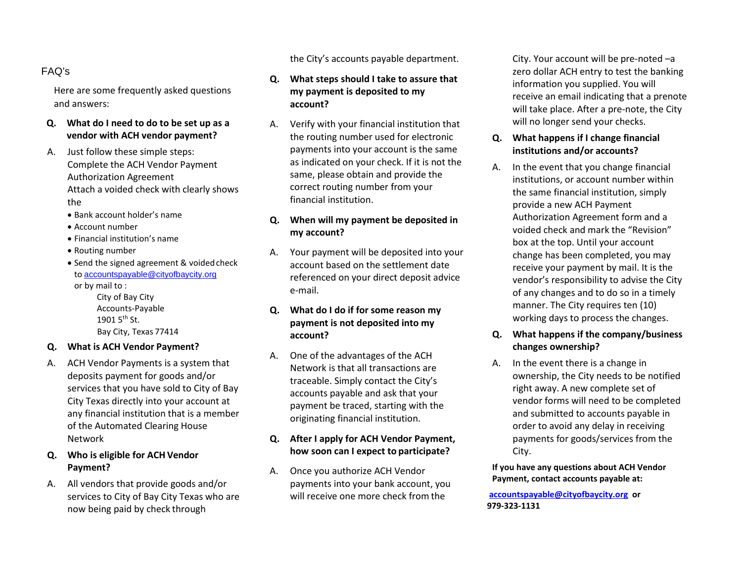# FAQ's

Here are some frequently asked questions and answers:

- **Q. What do I need to do to be set up as a vendor with ACH vendor payment?**
- A. Just follow these simple steps: Complete the ACH Vendor Payment Authorization Agreement Attach a voided check with clearly shows the
	- Bank account holder's name
	- Account number
	- Financial institution's name
	- Routing number
	- Send the signed agreement & voided check to accountspayable@cityofbaycity.org

or by mail to :

City of Bay City Accounts-Payable 1901  $5^{th}$  St. Bay City, Texas 77414

## **Q. What is ACH Vendor Payment?**

A. ACH Vendor Payments is a system that deposits payment for goods and/or services that you have sold to City of Bay City Texas directly into your account at any financial institution that is a member of the Automated Clearing House Network

# **Q. Who is eligible for ACH Vendor Payment?**

A. All vendors that provide goods and/or services to City of Bay City Texas who are now being paid by check through

the City's accounts payable department.

# **Q. What steps should I take to assure that my payment is deposited to my account?**

A. Verify with your financial institution that the routing number used for electronic payments into your account is the same as indicated on your check. If it is not the same, please obtain and provide the correct routing number from your financial institution.

# **Q. When will my payment be deposited in my account?**

A. Your payment will be deposited into your account based on the settlement date referenced on your direct deposit advice e-mail.

# **Q. What do I do if for some reason my payment is not deposited into my account?**

A. One of the advantages of the ACH Network is that all transactions are traceable. Simply contact the City's accounts payable and ask that your payment be traced, starting with the originating financial institution.

#### **Q. After I apply for ACH Vendor Payment, how soon can I expect to participate?**

A. Once you authorize ACH Vendor payments into your bank account, you will receive one more check from the

City. Your account will be pre-noted –a zero dollar ACH entry to test the banking information you supplied. You will receive an email indicating that a prenote will take place. After a pre-note, the City will no longer send your checks.

# **Q. What happens if I change financial institutions and/or accounts?**

A. In the event that you change financial institutions, or account number within the same financial institution, simply provide a new ACH Payment Authorization Agreement form and a voided check and mark the "Revision" box at the top. Until your account change has been completed, you may receive your payment by mail. It is the vendor's responsibility to advise the City of any changes and to do so in a timely manner. The City requires ten (10) working days to process the changes.

# **Q. What happens if the company/business changes ownership?**

A. In the event there is a change in ownership, the City needs to be notified right away. A new complete set of vendor forms will need to be completed and submitted to accounts payable in order to avoid any delay in receiving payments for goods/services from the City.

**If you have any questions about ACH Vendor Payment, contact accounts payable at:**

**accountspayable@cityofbaycity.org or 979-323-1131**